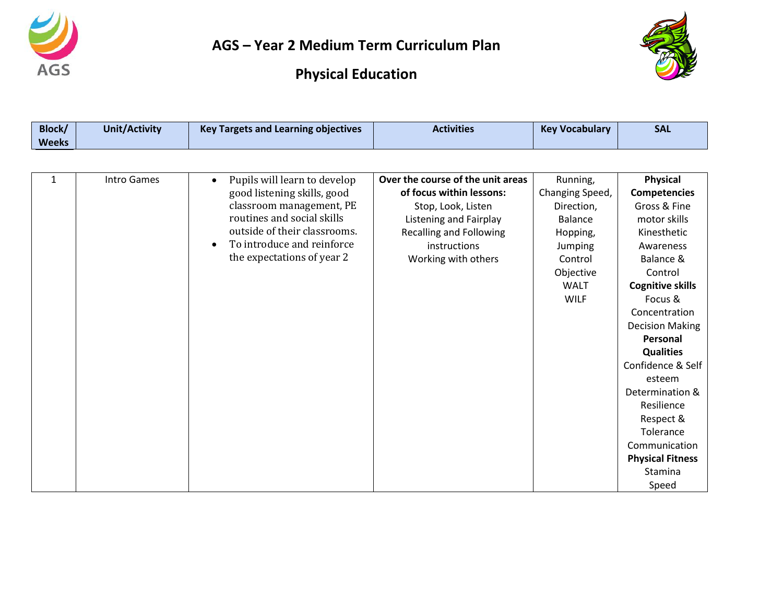



| Block/<br><b>Weeks</b> | <b>Unit/Activity</b> | <b>Key Targets and Learning objectives</b>                                                                                                                                                                                     | <b>Activities</b>                                                                                                                                                                             | <b>Key Vocabulary</b>                                                                                                                    | <b>SAL</b>                                                                                                                                                                                                                                                                                                                                                                                            |
|------------------------|----------------------|--------------------------------------------------------------------------------------------------------------------------------------------------------------------------------------------------------------------------------|-----------------------------------------------------------------------------------------------------------------------------------------------------------------------------------------------|------------------------------------------------------------------------------------------------------------------------------------------|-------------------------------------------------------------------------------------------------------------------------------------------------------------------------------------------------------------------------------------------------------------------------------------------------------------------------------------------------------------------------------------------------------|
|                        |                      |                                                                                                                                                                                                                                |                                                                                                                                                                                               |                                                                                                                                          |                                                                                                                                                                                                                                                                                                                                                                                                       |
| 1                      | <b>Intro Games</b>   | Pupils will learn to develop<br>$\bullet$<br>good listening skills, good<br>classroom management, PE<br>routines and social skills<br>outside of their classrooms.<br>To introduce and reinforce<br>the expectations of year 2 | Over the course of the unit areas<br>of focus within lessons:<br>Stop, Look, Listen<br><b>Listening and Fairplay</b><br><b>Recalling and Following</b><br>instructions<br>Working with others | Running,<br>Changing Speed,<br>Direction,<br><b>Balance</b><br>Hopping,<br>Jumping<br>Control<br>Objective<br><b>WALT</b><br><b>WILF</b> | <b>Physical</b><br><b>Competencies</b><br>Gross & Fine<br>motor skills<br>Kinesthetic<br>Awareness<br>Balance &<br>Control<br><b>Cognitive skills</b><br>Focus &<br>Concentration<br><b>Decision Making</b><br>Personal<br><b>Qualities</b><br>Confidence & Self<br>esteem<br>Determination &<br>Resilience<br>Respect &<br>Tolerance<br>Communication<br><b>Physical Fitness</b><br>Stamina<br>Speed |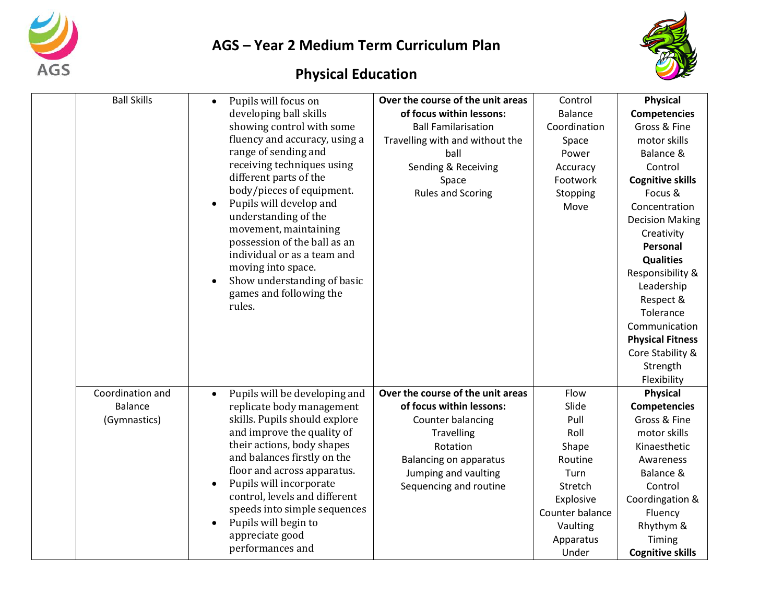



| <b>Ball Skills</b> | Pupils will focus on<br>$\bullet$          | Over the course of the unit areas | Control         | <b>Physical</b>         |
|--------------------|--------------------------------------------|-----------------------------------|-----------------|-------------------------|
|                    | developing ball skills                     | of focus within lessons:          | <b>Balance</b>  | <b>Competencies</b>     |
|                    | showing control with some                  | <b>Ball Familarisation</b>        | Coordination    | Gross & Fine            |
|                    | fluency and accuracy, using a              | Travelling with and without the   | Space           | motor skills            |
|                    | range of sending and                       | ball                              | Power           | Balance &               |
|                    | receiving techniques using                 | Sending & Receiving               | Accuracy        | Control                 |
|                    | different parts of the                     | Space                             | Footwork        | <b>Cognitive skills</b> |
|                    | body/pieces of equipment.                  | <b>Rules and Scoring</b>          | Stopping        | Focus &                 |
|                    | Pupils will develop and                    |                                   | Move            | Concentration           |
|                    | understanding of the                       |                                   |                 | <b>Decision Making</b>  |
|                    | movement, maintaining                      |                                   |                 | Creativity              |
|                    | possession of the ball as an               |                                   |                 | Personal                |
|                    | individual or as a team and                |                                   |                 | <b>Qualities</b>        |
|                    | moving into space.                         |                                   |                 | Responsibility &        |
|                    | Show understanding of basic                |                                   |                 | Leadership              |
|                    | games and following the<br>rules.          |                                   |                 | Respect &               |
|                    |                                            |                                   |                 | Tolerance               |
|                    |                                            |                                   |                 | Communication           |
|                    |                                            |                                   |                 | <b>Physical Fitness</b> |
|                    |                                            |                                   |                 | Core Stability &        |
|                    |                                            |                                   |                 | Strength                |
|                    |                                            |                                   |                 | Flexibility             |
| Coordination and   | Pupils will be developing and<br>$\bullet$ | Over the course of the unit areas | Flow            | <b>Physical</b>         |
| <b>Balance</b>     | replicate body management                  | of focus within lessons:          | Slide           | <b>Competencies</b>     |
| (Gymnastics)       | skills. Pupils should explore              | Counter balancing                 | Pull            | Gross & Fine            |
|                    | and improve the quality of                 | <b>Travelling</b>                 | Roll            | motor skills            |
|                    | their actions, body shapes                 | Rotation                          | Shape           | Kinaesthetic            |
|                    | and balances firstly on the                | <b>Balancing on apparatus</b>     | Routine         | Awareness               |
|                    | floor and across apparatus.                | Jumping and vaulting              | Turn            | Balance &               |
|                    | Pupils will incorporate                    | Sequencing and routine            | Stretch         | Control                 |
|                    | control, levels and different              |                                   | Explosive       | Coordingation &         |
|                    | speeds into simple sequences               |                                   | Counter balance | Fluency                 |
|                    | Pupils will begin to                       |                                   | Vaulting        | Rhythym &               |
|                    | appreciate good                            |                                   | Apparatus       | Timing                  |
|                    | performances and                           |                                   | Under           | <b>Cognitive skills</b> |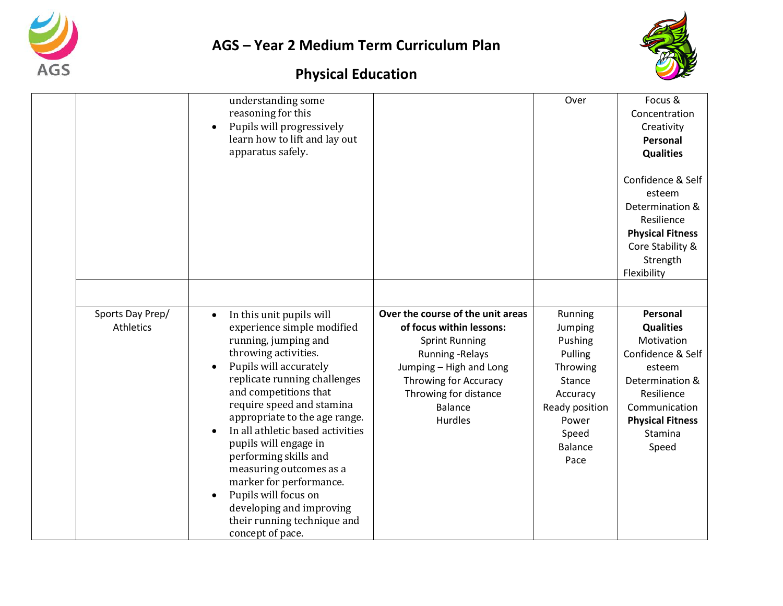



|                                      | understanding some<br>reasoning for this<br>Pupils will progressively<br>learn how to lift and lay out<br>apparatus safely.                                                                                                                                                                                                                                                                                                                                                                                             |                                                                                                                                                                                                                                    | Over                                                                                                                                            | Focus &<br>Concentration<br>Creativity<br>Personal<br><b>Qualities</b>                                                                                                     |
|--------------------------------------|-------------------------------------------------------------------------------------------------------------------------------------------------------------------------------------------------------------------------------------------------------------------------------------------------------------------------------------------------------------------------------------------------------------------------------------------------------------------------------------------------------------------------|------------------------------------------------------------------------------------------------------------------------------------------------------------------------------------------------------------------------------------|-------------------------------------------------------------------------------------------------------------------------------------------------|----------------------------------------------------------------------------------------------------------------------------------------------------------------------------|
|                                      |                                                                                                                                                                                                                                                                                                                                                                                                                                                                                                                         |                                                                                                                                                                                                                                    |                                                                                                                                                 | Confidence & Self<br>esteem<br>Determination &<br>Resilience<br><b>Physical Fitness</b><br>Core Stability &<br>Strength<br>Flexibility                                     |
|                                      |                                                                                                                                                                                                                                                                                                                                                                                                                                                                                                                         |                                                                                                                                                                                                                                    |                                                                                                                                                 |                                                                                                                                                                            |
| Sports Day Prep/<br><b>Athletics</b> | In this unit pupils will<br>$\bullet$<br>experience simple modified<br>running, jumping and<br>throwing activities.<br>Pupils will accurately<br>replicate running challenges<br>and competitions that<br>require speed and stamina<br>appropriate to the age range.<br>In all athletic based activities<br>pupils will engage in<br>performing skills and<br>measuring outcomes as a<br>marker for performance.<br>Pupils will focus on<br>developing and improving<br>their running technique and<br>concept of pace. | Over the course of the unit areas<br>of focus within lessons:<br><b>Sprint Running</b><br><b>Running - Relays</b><br>Jumping - High and Long<br>Throwing for Accuracy<br>Throwing for distance<br><b>Balance</b><br><b>Hurdles</b> | Running<br>Jumping<br>Pushing<br>Pulling<br>Throwing<br><b>Stance</b><br>Accuracy<br>Ready position<br>Power<br>Speed<br><b>Balance</b><br>Pace | Personal<br><b>Qualities</b><br>Motivation<br>Confidence & Self<br>esteem<br>Determination &<br>Resilience<br>Communication<br><b>Physical Fitness</b><br>Stamina<br>Speed |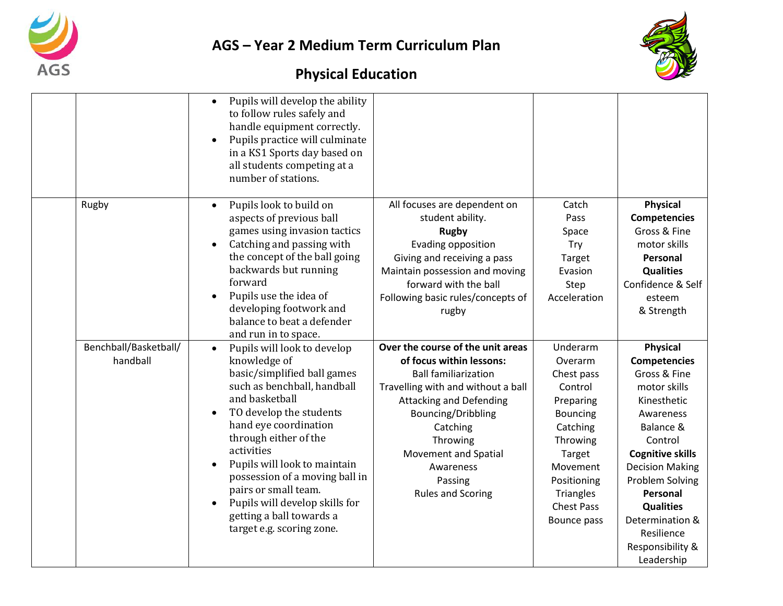



|                                   | Pupils will develop the ability<br>$\bullet$<br>to follow rules safely and<br>handle equipment correctly.<br>Pupils practice will culminate<br>$\bullet$<br>in a KS1 Sports day based on<br>all students competing at a<br>number of stations.                                                                                                                                                                           |                                                                                                                                                                                                                                                                                                       |                                                                                                                                                                                            |                                                                                                                                                                                                                                                                                                       |
|-----------------------------------|--------------------------------------------------------------------------------------------------------------------------------------------------------------------------------------------------------------------------------------------------------------------------------------------------------------------------------------------------------------------------------------------------------------------------|-------------------------------------------------------------------------------------------------------------------------------------------------------------------------------------------------------------------------------------------------------------------------------------------------------|--------------------------------------------------------------------------------------------------------------------------------------------------------------------------------------------|-------------------------------------------------------------------------------------------------------------------------------------------------------------------------------------------------------------------------------------------------------------------------------------------------------|
| Rugby                             | Pupils look to build on<br>$\bullet$<br>aspects of previous ball<br>games using invasion tactics<br>Catching and passing with<br>the concept of the ball going<br>backwards but running<br>forward<br>Pupils use the idea of<br>developing footwork and<br>balance to beat a defender<br>and run in to space.                                                                                                            | All focuses are dependent on<br>student ability.<br><b>Rugby</b><br>Evading opposition<br>Giving and receiving a pass<br>Maintain possession and moving<br>forward with the ball<br>Following basic rules/concepts of<br>rugby                                                                        | Catch<br>Pass<br>Space<br>Try<br>Target<br>Evasion<br>Step<br>Acceleration                                                                                                                 | <b>Physical</b><br><b>Competencies</b><br>Gross & Fine<br>motor skills<br>Personal<br><b>Qualities</b><br>Confidence & Self<br>esteem<br>& Strength                                                                                                                                                   |
| Benchball/Basketball/<br>handball | Pupils will look to develop<br>$\bullet$<br>knowledge of<br>basic/simplified ball games<br>such as benchball, handball<br>and basketball<br>TO develop the students<br>hand eye coordination<br>through either of the<br>activities<br>Pupils will look to maintain<br>possession of a moving ball in<br>pairs or small team.<br>Pupils will develop skills for<br>getting a ball towards a<br>target e.g. scoring zone. | Over the course of the unit areas<br>of focus within lessons:<br><b>Ball familiarization</b><br>Travelling with and without a ball<br><b>Attacking and Defending</b><br>Bouncing/Dribbling<br>Catching<br>Throwing<br><b>Movement and Spatial</b><br>Awareness<br>Passing<br><b>Rules and Scoring</b> | Underarm<br>Overarm<br>Chest pass<br>Control<br>Preparing<br><b>Bouncing</b><br>Catching<br>Throwing<br>Target<br>Movement<br>Positioning<br>Triangles<br><b>Chest Pass</b><br>Bounce pass | <b>Physical</b><br><b>Competencies</b><br>Gross & Fine<br>motor skills<br>Kinesthetic<br>Awareness<br>Balance &<br>Control<br><b>Cognitive skills</b><br><b>Decision Making</b><br>Problem Solving<br>Personal<br><b>Qualities</b><br>Determination &<br>Resilience<br>Responsibility &<br>Leadership |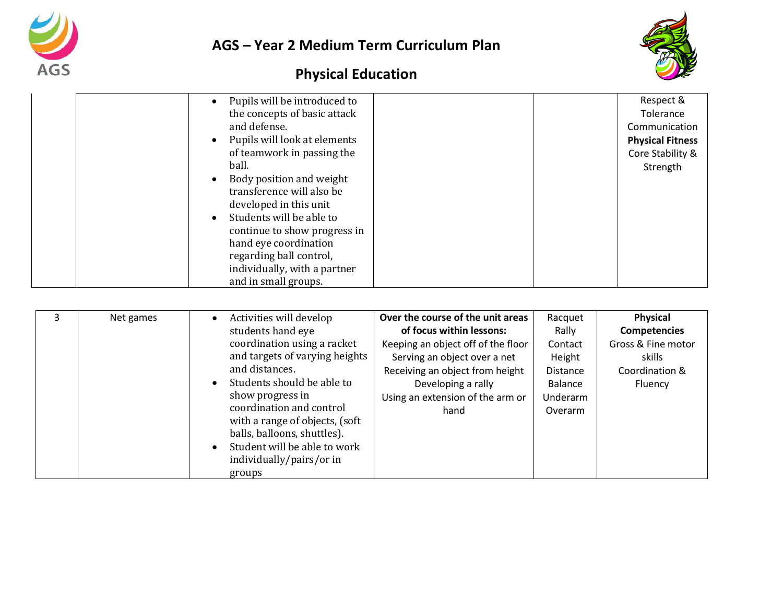



|  | Pupils will be introduced to                                                                                                                                                                    | Respect &               |
|--|-------------------------------------------------------------------------------------------------------------------------------------------------------------------------------------------------|-------------------------|
|  | the concepts of basic attack                                                                                                                                                                    | Tolerance               |
|  | and defense.                                                                                                                                                                                    | Communication           |
|  | Pupils will look at elements                                                                                                                                                                    | <b>Physical Fitness</b> |
|  | of teamwork in passing the                                                                                                                                                                      | Core Stability &        |
|  | ball.                                                                                                                                                                                           | Strength                |
|  | Body position and weight<br>transference will also be<br>developed in this unit<br>Students will be able to<br>continue to show progress in<br>hand eye coordination<br>regarding ball control, |                         |
|  | individually, with a partner                                                                                                                                                                    |                         |
|  | and in small groups.                                                                                                                                                                            |                         |

|  | Net games | Activities will develop<br>students hand eye<br>coordination using a racket<br>and targets of varying heights<br>and distances.<br>Students should be able to<br>show progress in<br>coordination and control<br>with a range of objects, (soft<br>balls, balloons, shuttles).<br>Student will be able to work<br>individually/pairs/or in<br>groups | Over the course of the unit areas<br>of focus within lessons:<br>Keeping an object off of the floor<br>Serving an object over a net<br>Receiving an object from height<br>Developing a rally<br>Using an extension of the arm or<br>hand | Racquet<br>Rally<br>Contact<br>Height<br><b>Distance</b><br>Balance<br>Underarm<br>Overarm | Physical<br><b>Competencies</b><br>Gross & Fine motor<br>skills<br>Coordination &<br>Fluency |
|--|-----------|------------------------------------------------------------------------------------------------------------------------------------------------------------------------------------------------------------------------------------------------------------------------------------------------------------------------------------------------------|------------------------------------------------------------------------------------------------------------------------------------------------------------------------------------------------------------------------------------------|--------------------------------------------------------------------------------------------|----------------------------------------------------------------------------------------------|
|--|-----------|------------------------------------------------------------------------------------------------------------------------------------------------------------------------------------------------------------------------------------------------------------------------------------------------------------------------------------------------------|------------------------------------------------------------------------------------------------------------------------------------------------------------------------------------------------------------------------------------------|--------------------------------------------------------------------------------------------|----------------------------------------------------------------------------------------------|